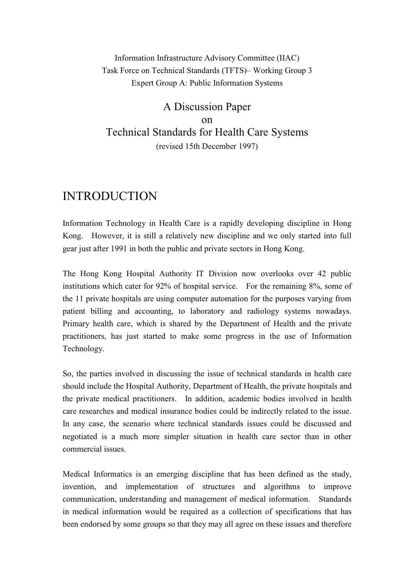### Information Infrastructure Advisory Committee (IIAC) Task Force on Technical Standards (TFTS)– Working Group 3 Expert Group A: Public Information Systems

## A Discussion Paper on Technical Standards for Health Care Systems (revised 15th December 1997)

# INTRODUCTION

Information Technology in Health Care is a rapidly developing discipline in Hong Kong. However, it is still a relatively new discipline and we only started into full gear just after 1991 in both the public and private sectors in Hong Kong.

The Hong Kong Hospital Authority IT Division now overlooks over 42 public institutions which cater for  $92\%$  of hospital service. For the remaining  $8\%$ , some of the 11 private hospitals are using computer automation for the purposes varying from patient billing and accounting, to laboratory and radiology systems nowadays. Primary health care, which is shared by the Department of Health and the private practitioners, has just started to make some progress in the use of Information Technology.

So, the parties involved in discussing the issue of technical standards in health care should include the Hospital Authority, Department of Health, the private hospitals and the private medical practitioners. In addition, academic bodies involved in health care researches and medical insurance bodies could be indirectly related to the issue. In any case, the scenario where technical standards issues could be discussed and negotiated is a much more simpler situation in health care sector than in other commercial issues.

Medical Informatics is an emerging discipline that has been defined as the study, invention, and implementation of structures and algorithms to improve communication, understanding and management of medical information. Standards in medical information would be required as a collection of specifications that has been endorsed by some groups so that they may all agree on these issues and therefore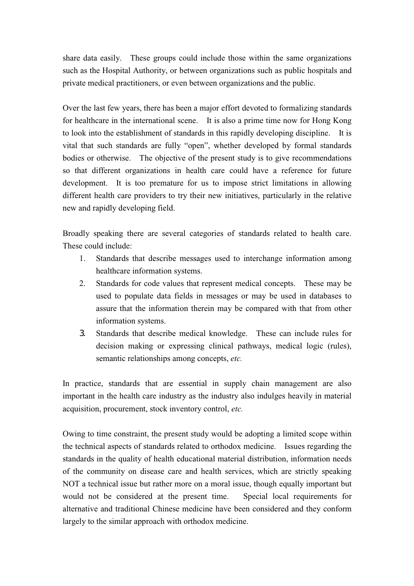share data easily. These groups could include those within the same organizations such as the Hospital Authority, or between organizations such as public hospitals and private medical practitioners, or even between organizations and the public.

Over the last few years, there has been a major effort devoted to formalizing standards for healthcare in the international scene. It is also a prime time now for Hong Kong to look into the establishment of standards in this rapidly developing discipline. It is vital that such standards are fully "open", whether developed by formal standards bodies or otherwise. The objective of the present study is to give recommendations so that different organizations in health care could have a reference for future development. It is too premature for us to impose strict limitations in allowing different health care providers to try their new initiatives, particularly in the relative new and rapidly developing field.

Broadly speaking there are several categories of standards related to health care. These could include:

- 1. Standards that describe messages used to interchange information among healthcare information systems.
- 2. Standards for code values that represent medical concepts. These may be used to populate data fields in messages or may be used in databases to assure that the information therein may be compared with that from other information systems.
- 3. Standards that describe medical knowledge. These can include rules for decision making or expressing clinical pathways, medical logic (rules), semantic relationships among concepts, *etc.*

In practice, standards that are essential in supply chain management are also important in the health care industry as the industry also indulges heavily in material acquisition, procurement, stock inventory control, *etc.* 

Owing to time constraint, the present study would be adopting a limited scope within the technical aspects of standards related to orthodox medicine. Issues regarding the standards in the quality of health educational material distribution, information needs of the community on disease care and health services, which are strictly speaking NOT a technical issue but rather more on a moral issue, though equally important but would not be considered at the present time. Special local requirements for alternative and traditional Chinese medicine have been considered and they conform largely to the similar approach with orthodox medicine.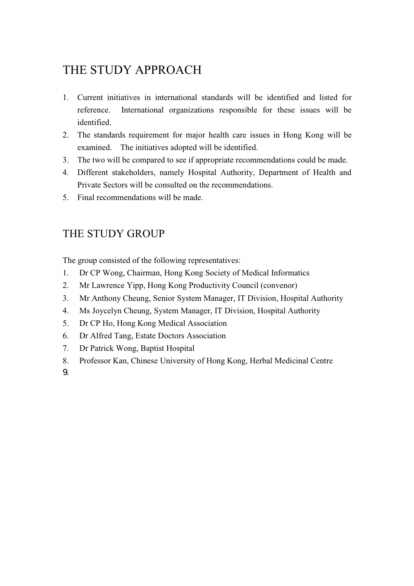# THE STUDY APPROACH

- 1. Current initiatives in international standards will be identified and listed for reference. International organizations responsible for these issues will be identified.
- 2. The standards requirement for major health care issues in Hong Kong will be examined. The initiatives adopted will be identified.
- 3. The two will be compared to see if appropriate recommendations could be made.
- 4. Different stakeholders, namely Hospital Authority, Department of Health and Private Sectors will be consulted on the recommendations.
- 5. Final recommendations will be made.

## THE STUDY GROUP

The group consisted of the following representatives:

- 1. Dr CP Wong, Chairman, Hong Kong Society of Medical Informatics
- 2. Mr Lawrence Yipp, Hong Kong Productivity Council (convenor)
- 3. Mr Anthony Cheung, Senior System Manager, IT Division, Hospital Authority
- 4. Ms Joycelyn Cheung, System Manager, IT Division, Hospital Authority
- 5. Dr CP Ho, Hong Kong Medical Association
- 6. Dr Alfred Tang, Estate Doctors Association
- 7. Dr Patrick Wong, Baptist Hospital
- 8. Professor Kan, Chinese University of Hong Kong, Herbal Medicinal Centre

9.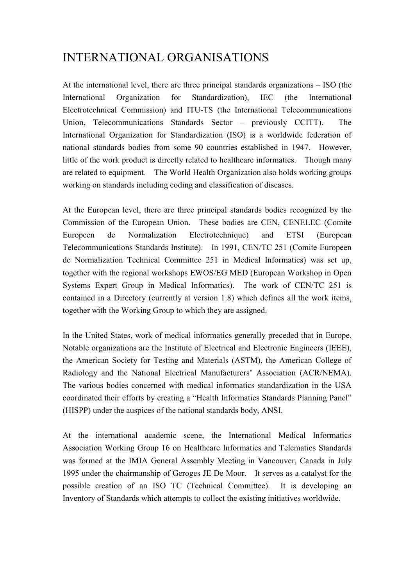# INTERNATIONAL ORGANISATIONS

At the international level, there are three principal standards organizations – ISO (the International Organization for Standardization), IEC (the International Electrotechnical Commission) and ITU-TS (the International Telecommunications Union, Telecommunications Standards Sector – previously CCITT). The International Organization for Standardization (ISO) is a worldwide federation of national standards bodies from some 90 countries established in 1947. However, little of the work product is directly related to healthcare informatics. Though many are related to equipment. The World Health Organization also holds working groups working on standards including coding and classification of diseases.

At the European level, there are three principal standards bodies recognized by the Commission of the European Union. These bodies are CEN, CENELEC (Comite Europeen de Normalization Electrotechnique) and ETSI (European Telecommunications Standards Institute). In 1991, CEN/TC 251 (Comite Europeen de Normalization Technical Committee 251 in Medical Informatics) was set up, together with the regional workshops EWOS/EG MED (European Workshop in Open Systems Expert Group in Medical Informatics). The work of CEN/TC 251 is contained in a Directory (currently at version 1.8) which defines all the work items, together with the Working Group to which they are assigned.

In the United States, work of medical informatics generally preceded that in Europe. Notable organizations are the Institute of Electrical and Electronic Engineers (IEEE), the American Society for Testing and Materials (ASTM), the American College of Radiology and the National Electrical Manufacturers' Association (ACR/NEMA). The various bodies concerned with medical informatics standardization in the USA coordinated their efforts by creating a "Health Informatics Standards Planning Panel" (HISPP) under the auspices of the national standards body, ANSI.

At the international academic scene, the International Medical Informatics Association Working Group 16 on Healthcare Informatics and Telematics Standards was formed at the IMIA General Assembly Meeting in Vancouver, Canada in July 1995 under the chairmanship of Geroges JE De Moor. It serves as a catalyst for the possible creation of an ISO TC (Technical Committee). It is developing an Inventory of Standards which attempts to collect the existing initiatives worldwide.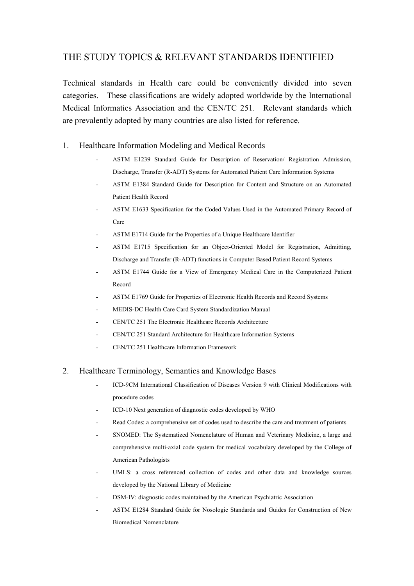### THE STUDY TOPICS & RELEVANT STANDARDS IDENTIFIED

Technical standards in Health care could be conveniently divided into seven categories. These classifications are widely adopted worldwide by the International Medical Informatics Association and the CEN/TC 251. Relevant standards which are prevalently adopted by many countries are also listed for reference.

#### 1. Healthcare Information Modeling and Medical Records

- ASTM E1239 Standard Guide for Description of Reservation/ Registration Admission, Discharge, Transfer (R-ADT) Systems for Automated Patient Care Information Systems
- ASTM E1384 Standard Guide for Description for Content and Structure on an Automated Patient Health Record
- ASTM E1633 Specification for the Coded Values Used in the Automated Primary Record of Care
- ASTM E1714 Guide for the Properties of a Unique Healthcare Identifier
- ASTM E1715 Specification for an Object-Oriented Model for Registration, Admitting, Discharge and Transfer (R-ADT) functions in Computer Based Patient Record Systems
- ASTM E1744 Guide for a View of Emergency Medical Care in the Computerized Patient Record
- ASTM E1769 Guide for Properties of Electronic Health Records and Record Systems
- MEDIS-DC Health Care Card System Standardization Manual
- CEN/TC 251 The Electronic Healthcare Records Architecture
- CEN/TC 251 Standard Architecture for Healthcare Information Systems
- CEN/TC 251 Healthcare Information Framework

#### 2. Healthcare Terminology, Semantics and Knowledge Bases

- ICD-9CM International Classification of Diseases Version 9 with Clinical Modifications with procedure codes
- ICD-10 Next generation of diagnostic codes developed by WHO
- Read Codes: a comprehensive set of codes used to describe the care and treatment of patients
- SNOMED: The Systematized Nomenclature of Human and Veterinary Medicine, a large and comprehensive multi-axial code system for medical vocabulary developed by the College of American Pathologists
- UMLS: a cross referenced collection of codes and other data and knowledge sources developed by the National Library of Medicine
- DSM-IV: diagnostic codes maintained by the American Psychiatric Association
- ASTM E1284 Standard Guide for Nosologic Standards and Guides for Construction of New Biomedical Nomenclature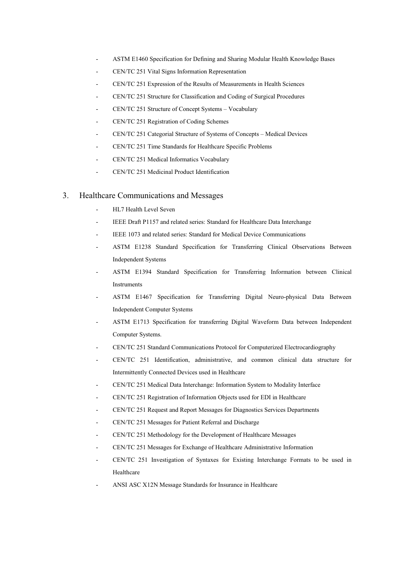- ASTM E1460 Specification for Defining and Sharing Modular Health Knowledge Bases
- CEN/TC 251 Vital Signs Information Representation
- CEN/TC 251 Expression of the Results of Measurements in Health Sciences
- CEN/TC 251 Structure for Classification and Coding of Surgical Procedures
- CEN/TC 251 Structure of Concept Systems Vocabulary
- CEN/TC 251 Registration of Coding Schemes
- CEN/TC 251 Categorial Structure of Systems of Concepts Medical Devices
- CEN/TC 251 Time Standards for Healthcare Specific Problems
- CEN/TC 251 Medical Informatics Vocabulary
- CEN/TC 251 Medicinal Product Identification

#### 3. Healthcare Communications and Messages

- HL7 Health Level Seven
- IEEE Draft P1157 and related series: Standard for Healthcare Data Interchange
- IEEE 1073 and related series: Standard for Medical Device Communications
- ASTM E1238 Standard Specification for Transferring Clinical Observations Between Independent Systems
- ASTM E1394 Standard Specification for Transferring Information between Clinical Instruments
- ASTM E1467 Specification for Transferring Digital Neuro-physical Data Between Independent Computer Systems
- ASTM E1713 Specification for transferring Digital Waveform Data between Independent Computer Systems.
- CEN/TC 251 Standard Communications Protocol for Computerized Electrocardiography
- CEN/TC 251 Identification, administrative, and common clinical data structure for Intermittently Connected Devices used in Healthcare
- CEN/TC 251 Medical Data Interchange: Information System to Modality Interface
- CEN/TC 251 Registration of Information Objects used for EDI in Healthcare
- CEN/TC 251 Request and Report Messages for Diagnostics Services Departments
- CEN/TC 251 Messages for Patient Referral and Discharge
- CEN/TC 251 Methodology for the Development of Healthcare Messages
- CEN/TC 251 Messages for Exchange of Healthcare Administrative Information
- CEN/TC 251 Investigation of Syntaxes for Existing Interchange Formats to be used in Healthcare
- ANSI ASC X12N Message Standards for Insurance in Healthcare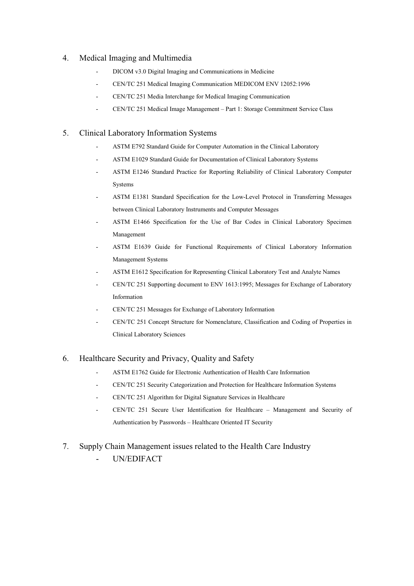#### 4. Medical Imaging and Multimedia

- DICOM v3.0 Digital Imaging and Communications in Medicine
- CEN/TC 251 Medical Imaging Communication MEDICOM ENV 12052:1996
- CEN/TC 251 Media Interchange for Medical Imaging Communication
- CEN/TC 251 Medical Image Management Part 1: Storage Commitment Service Class

#### 5. Clinical Laboratory Information Systems

- ASTM E792 Standard Guide for Computer Automation in the Clinical Laboratory
- ASTM E1029 Standard Guide for Documentation of Clinical Laboratory Systems
- ASTM E1246 Standard Practice for Reporting Reliability of Clinical Laboratory Computer Systems
- ASTM E1381 Standard Specification for the Low-Level Protocol in Transferring Messages between Clinical Laboratory Instruments and Computer Messages
- ASTM E1466 Specification for the Use of Bar Codes in Clinical Laboratory Specimen Management
- ASTM E1639 Guide for Functional Requirements of Clinical Laboratory Information Management Systems
- ASTM E1612 Specification for Representing Clinical Laboratory Test and Analyte Names
- CEN/TC 251 Supporting document to ENV 1613:1995; Messages for Exchange of Laboratory Information
- CEN/TC 251 Messages for Exchange of Laboratory Information
- CEN/TC 251 Concept Structure for Nomenclature, Classification and Coding of Properties in Clinical Laboratory Sciences

#### 6. Healthcare Security and Privacy, Quality and Safety

- ASTM E1762 Guide for Electronic Authentication of Health Care Information
- CEN/TC 251 Security Categorization and Protection for Healthcare Information Systems
- CEN/TC 251 Algorithm for Digital Signature Services in Healthcare
- CEN/TC 251 Secure User Identification for Healthcare Management and Security of Authentication by Passwords – Healthcare Oriented IT Security

#### 7. Supply Chain Management issues related to the Health Care Industry

- UN/EDIFACT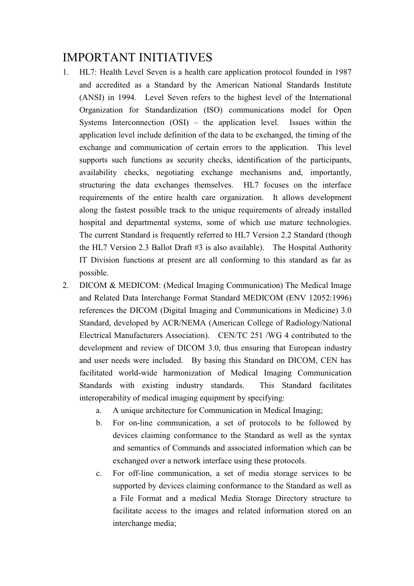# IMPORTANT INITIATIVES

- 1. HL7: Health Level Seven is a health care application protocol founded in 1987 and accredited as a Standard by the American National Standards Institute (ANSI) in 1994. Level Seven refers to the highest level of the International Organization for Standardization (ISO) communications model for Open Systems Interconnection (OSI) – the application level. Issues within the application level include definition of the data to be exchanged, the timing of the exchange and communication of certain errors to the application. This level supports such functions as security checks, identification of the participants, availability checks, negotiating exchange mechanisms and, importantly, structuring the data exchanges themselves. HL7 focuses on the interface requirements of the entire health care organization. It allows development along the fastest possible track to the unique requirements of already installed hospital and departmental systems, some of which use mature technologies. The current Standard is frequently referred to HL7 Version 2.2 Standard (though the HL7 Version 2.3 Ballot Draft #3 is also available). The Hospital Authority IT Division functions at present are all conforming to this standard as far as possible.
- 2. DICOM & MEDICOM: (Medical Imaging Communication) The Medical Image and Related Data Interchange Format Standard MEDICOM (ENV 12052:1996) references the DICOM (Digital Imaging and Communications in Medicine) 3.0 Standard, developed by ACR/NEMA (American College of Radiology/National Electrical Manufacturers Association). CEN/TC 251 /WG 4 contributed to the development and review of DICOM 3.0, thus ensuring that European industry and user needs were included. By basing this Standard on DICOM, CEN has facilitated world-wide harmonization of Medical Imaging Communication Standards with existing industry standards. This Standard facilitates interoperability of medical imaging equipment by specifying:
	- a. A unique architecture for Communication in Medical Imaging;
	- b. For on-line communication, a set of protocols to be followed by devices claiming conformance to the Standard as well as the syntax and semantics of Commands and associated information which can be exchanged over a network interface using these protocols.
	- c. For off-line communication, a set of media storage services to be supported by devices claiming conformance to the Standard as well as a File Format and a medical Media Storage Directory structure to facilitate access to the images and related information stored on an interchange media;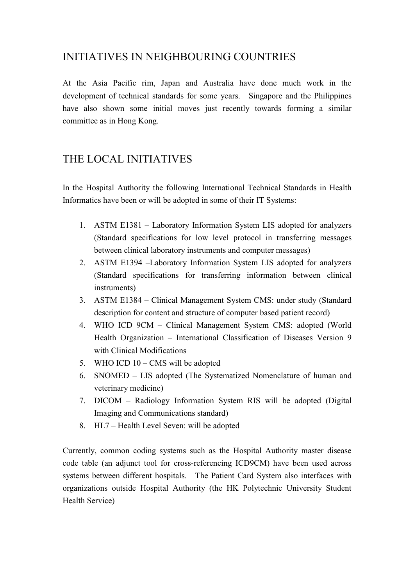## INITIATIVES IN NEIGHBOURING COUNTRIES

At the Asia Pacific rim, Japan and Australia have done much work in the development of technical standards for some years. Singapore and the Philippines have also shown some initial moves just recently towards forming a similar committee as in Hong Kong.

# THE LOCAL INITIATIVES

In the Hospital Authority the following International Technical Standards in Health Informatics have been or will be adopted in some of their IT Systems:

- 1. ASTM E1381 Laboratory Information System LIS adopted for analyzers (Standard specifications for low level protocol in transferring messages between clinical laboratory instruments and computer messages)
- 2. ASTM E1394 –Laboratory Information System LIS adopted for analyzers (Standard specifications for transferring information between clinical instruments)
- 3. ASTM E1384 Clinical Management System CMS: under study (Standard description for content and structure of computer based patient record)
- 4. WHO ICD 9CM Clinical Management System CMS: adopted (World Health Organization – International Classification of Diseases Version 9 with Clinical Modifications
- 5. WHO ICD 10 CMS will be adopted
- 6. SNOMED LIS adopted (The Systematized Nomenclature of human and veterinary medicine)
- 7. DICOM Radiology Information System RIS will be adopted (Digital Imaging and Communications standard)
- 8. HL7 Health Level Seven: will be adopted

Currently, common coding systems such as the Hospital Authority master disease code table (an adjunct tool for cross-referencing ICD9CM) have been used across systems between different hospitals. The Patient Card System also interfaces with organizations outside Hospital Authority (the HK Polytechnic University Student Health Service)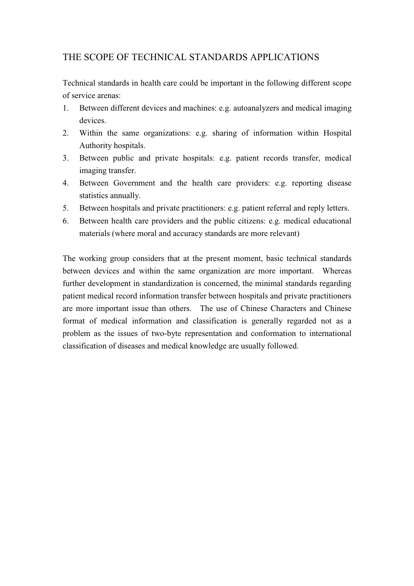### THE SCOPE OF TECHNICAL STANDARDS APPLICATIONS

Technical standards in health care could be important in the following different scope of service arenas:

- 1. Between different devices and machines: e.g. autoanalyzers and medical imaging devices.
- 2. Within the same organizations: e.g. sharing of information within Hospital Authority hospitals.
- 3. Between public and private hospitals: e.g. patient records transfer, medical imaging transfer.
- 4. Between Government and the health care providers: e.g. reporting disease statistics annually.
- 5. Between hospitals and private practitioners: e.g. patient referral and reply letters.
- 6. Between health care providers and the public citizens: e.g. medical educational materials (where moral and accuracy standards are more relevant)

The working group considers that at the present moment, basic technical standards between devices and within the same organization are more important. Whereas further development in standardization is concerned, the minimal standards regarding patient medical record information transfer between hospitals and private practitioners are more important issue than others. The use of Chinese Characters and Chinese format of medical information and classification is generally regarded not as a problem as the issues of two-byte representation and conformation to international classification of diseases and medical knowledge are usually followed.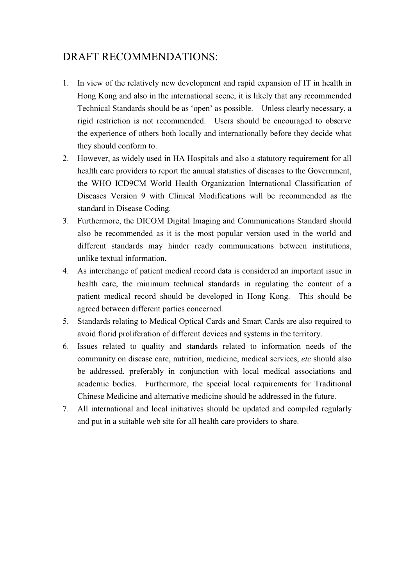# DRAFT RECOMMENDATIONS:

- 1. In view of the relatively new development and rapid expansion of IT in health in Hong Kong and also in the international scene, it is likely that any recommended Technical Standards should be as 'open' as possible. Unless clearly necessary, a rigid restriction is not recommended. Users should be encouraged to observe the experience of others both locally and internationally before they decide what they should conform to.
- 2. However, as widely used in HA Hospitals and also a statutory requirement for all health care providers to report the annual statistics of diseases to the Government, the WHO ICD9CM World Health Organization International Classification of Diseases Version 9 with Clinical Modifications will be recommended as the standard in Disease Coding.
- 3. Furthermore, the DICOM Digital Imaging and Communications Standard should also be recommended as it is the most popular version used in the world and different standards may hinder ready communications between institutions, unlike textual information.
- 4. As interchange of patient medical record data is considered an important issue in health care, the minimum technical standards in regulating the content of a patient medical record should be developed in Hong Kong. This should be agreed between different parties concerned.
- 5. Standards relating to Medical Optical Cards and Smart Cards are also required to avoid florid proliferation of different devices and systems in the territory.
- 6. Issues related to quality and standards related to information needs of the community on disease care, nutrition, medicine, medical services, *etc* should also be addressed, preferably in conjunction with local medical associations and academic bodies. Furthermore, the special local requirements for Traditional Chinese Medicine and alternative medicine should be addressed in the future.
- 7. All international and local initiatives should be updated and compiled regularly and put in a suitable web site for all health care providers to share.